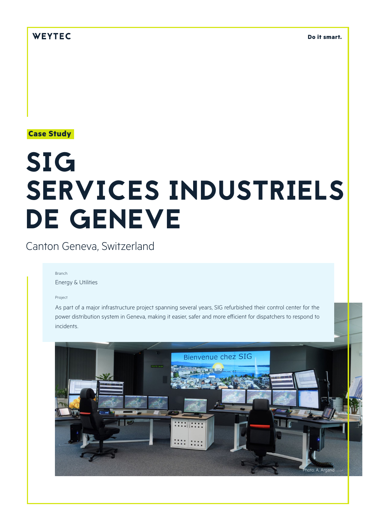**Do it smart.**

**Case Study**

# SIG SERVICES INDUSTRIELS DE GENEVE

Canton Geneva, Switzerland

#### Branch

Energy & Utilities

#### Project

As part of a major infrastructure project spanning several years, SIG refurbished their control center for the power distribution system in Geneva, making it easier, safer and more efficient for dispatchers to respond to incidents.

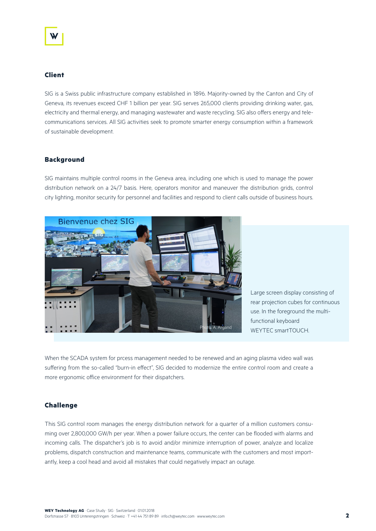# **Client**

SIG is a Swiss public infrastructure company established in 1896. Majority-owned by the Canton and City of Geneva, its revenues exceed CHF 1 billion per year. SIG serves 265,000 clients providing drinking water, gas, electricity and thermal energy, and managing wastewater and waste recycling. SIG also offers energy and telecommunications services. All SIG activities seek to promote smarter energy consumption within a framework of sustainable development.

#### **Background**

SIG maintains multiple control rooms in the Geneva area, including one which is used to manage the power distribution network on a 24/7 basis. Here, operators monitor and maneuver the distribution grids, control city lighting, monitor security for personnel and facilities and respond to client calls outside of business hours.



Large screen display consisting of rear projection cubes for continuous use. In the foreground the multifunctional keyboard WEYTEC smartTOUCH

When the SCADA system for prcess management needed to be renewed and an aging plasma video wall was suffering from the so-called "burn-in effect", SIG decided to modernize the entire control room and create a more ergonomic office environment for their dispatchers.

## **Challenge**

This SIG control room manages the energy distribution network for a quarter of a million customers consuming over 2,800,000 GW/h per year. When a power failure occurs, the center can be flooded with alarms and incoming calls. The dispatcher's job is to avoid and/or minimize interruption of power, analyze and localize problems, dispatch construction and maintenance teams, communicate with the customers and most importantly, keep a cool head and avoid all mistakes that could negatively impact an outage.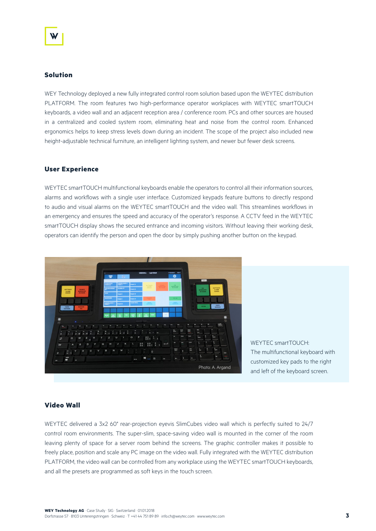#### **Solution**

WEY Technology deployed a new fully integrated control room solution based upon the WEYTEC distribution PLATFORM. The room features two high-performance operator workplaces with WEYTEC smartTOUCH keyboards, a video wall and an adjacent reception area / conference room. PCs and other sources are housed in a centralized and cooled system room, eliminating heat and noise from the control room. Enhanced ergonomics helps to keep stress levels down during an incident. The scope of the project also included new height-adjustable technical furniture, an intelligent lighting system, and newer but fewer desk screens.

# **User Experience**

WEYTEC smartTOUCH multifunctional keyboards enable the operators to control all their information sources, alarms and workflows with a single user interface. Customized keypads feature buttons to directly respond to audio and visual alarms on the WEYTEC smartTOUCH and the video wall. This streamlines workflows in an emergency and ensures the speed and accuracy of the operator's response. A CCTV feed in the WEYTEC smartTOUCH display shows the secured entrance and incoming visitors. Without leaving their working desk, operators can identify the person and open the door by simply pushing another button on the keypad.



WEYTEC smartTOUCH<sup>.</sup> The multifunctional keyboard with customized key pads to the right Photo: A. Argand and left of the keyboard screen.

# **Video Wall**

WEYTEC delivered a 3x2 60" rear-projection eyevis SlimCubes video wall which is perfectly suited to 24/7 control room environments. The super-slim, space-saving video wall is mounted in the corner of the room leaving plenty of space for a server room behind the screens. The graphic controller makes it possible to freely place, position and scale any PC image on the video wall. Fully integrated with the WEYTEC distribution PLATFORM, the video wall can be controlled from any workplace using the WEYTEC smartTOUCH keyboards, and all the presets are programmed as soft keys in the touch screen.